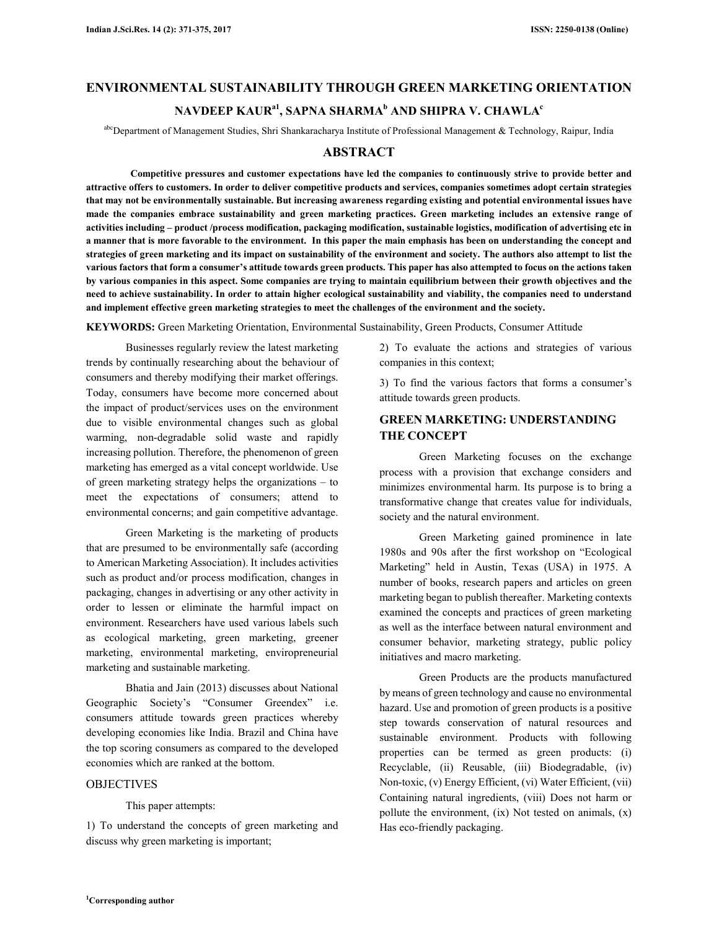# **ENVIRONMENTAL SUSTAINABILITY THROUGH GREEN MARKETING ORIENTATION NAVDEEP KAURa1, SAPNA SHARMA<sup>b</sup> AND SHIPRA V. CHAWLA<sup>c</sup>**

abcDepartment of Management Studies, Shri Shankaracharya Institute of Professional Management & Technology, Raipur, India

#### **ABSTRACT**

 **Competitive pressures and customer expectations have led the companies to continuously strive to provide better and attractive offers to customers. In order to deliver competitive products and services, companies sometimes adopt certain strategies that may not be environmentally sustainable. But increasing awareness regarding existing and potential environmental issues have made the companies embrace sustainability and green marketing practices. Green marketing includes an extensive range of activities including – product /process modification, packaging modification, sustainable logistics, modification of advertising etc in a manner that is more favorable to the environment. In this paper the main emphasis has been on understanding the concept and strategies of green marketing and its impact on sustainability of the environment and society. The authors also attempt to list the various factors that form a consumer's attitude towards green products. This paper has also attempted to focus on the actions taken by various companies in this aspect. Some companies are trying to maintain equilibrium between their growth objectives and the need to achieve sustainability. In order to attain higher ecological sustainability and viability, the companies need to understand and implement effective green marketing strategies to meet the challenges of the environment and the society.** 

**KEYWORDS:** Green Marketing Orientation, Environmental Sustainability, Green Products, Consumer Attitude

Businesses regularly review the latest marketing trends by continually researching about the behaviour of consumers and thereby modifying their market offerings. Today, consumers have become more concerned about the impact of product/services uses on the environment due to visible environmental changes such as global warming, non-degradable solid waste and rapidly increasing pollution. Therefore, the phenomenon of green marketing has emerged as a vital concept worldwide. Use of green marketing strategy helps the organizations – to meet the expectations of consumers; attend to environmental concerns; and gain competitive advantage.

Green Marketing is the marketing of products that are presumed to be environmentally safe (according to American Marketing Association). It includes activities such as product and/or process modification, changes in packaging, changes in advertising or any other activity in order to lessen or eliminate the harmful impact on environment. Researchers have used various labels such as ecological marketing, green marketing, greener marketing, environmental marketing, enviropreneurial marketing and sustainable marketing.

Bhatia and Jain (2013) discusses about National Geographic Society's "Consumer Greendex" i.e. consumers attitude towards green practices whereby developing economies like India. Brazil and China have the top scoring consumers as compared to the developed economies which are ranked at the bottom.

#### **OBJECTIVES**

This paper attempts:

1) To understand the concepts of green marketing and discuss why green marketing is important;

2) To evaluate the actions and strategies of various companies in this context;

3) To find the various factors that forms a consumer's attitude towards green products.

# **GREEN MARKETING: UNDERSTANDING THE CONCEPT**

Green Marketing focuses on the exchange process with a provision that exchange considers and minimizes environmental harm. Its purpose is to bring a transformative change that creates value for individuals, society and the natural environment.

Green Marketing gained prominence in late 1980s and 90s after the first workshop on "Ecological Marketing" held in Austin, Texas (USA) in 1975. A number of books, research papers and articles on green marketing began to publish thereafter. Marketing contexts examined the concepts and practices of green marketing as well as the interface between natural environment and consumer behavior, marketing strategy, public policy initiatives and macro marketing.

Green Products are the products manufactured by means of green technology and cause no environmental hazard. Use and promotion of green products is a positive step towards conservation of natural resources and sustainable environment. Products with following properties can be termed as green products: (i) Recyclable, (ii) Reusable, (iii) Biodegradable, (iv) Non-toxic, (v) Energy Efficient, (vi) Water Efficient, (vii) Containing natural ingredients, (viii) Does not harm or pollute the environment, (ix) Not tested on animals, (x) Has eco-friendly packaging.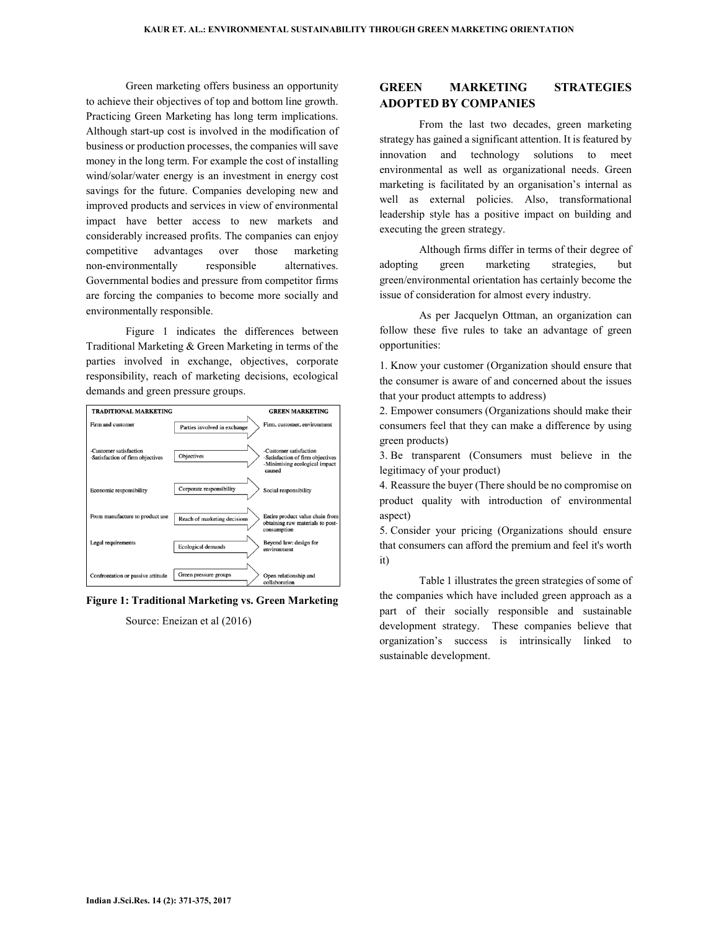Green marketing offers business an opportunity to achieve their objectives of top and bottom line growth. Practicing Green Marketing has long term implications. Although start-up cost is involved in the modification of business or production processes, the companies will save money in the long term. For example the cost of installing wind/solar/water energy is an investment in energy cost savings for the future. Companies developing new and improved products and services in view of environmental impact have better access to new markets and considerably increased profits. The companies can enjoy competitive advantages over those marketing non-environmentally responsible alternatives. Governmental bodies and pressure from competitor firms are forcing the companies to become more socially and environmentally responsible.

Figure 1 indicates the differences between Traditional Marketing & Green Marketing in terms of the parties involved in exchange, objectives, corporate responsibility, reach of marketing decisions, ecological demands and green pressure groups.



**Figure 1: Traditional Marketing vs. Green Marketing**

Source: Eneizan et al (2016)

## **GREEN MARKETING STRATEGIES ADOPTED BY COMPANIES**

From the last two decades, green marketing strategy has gained a significant attention. It is featured by innovation and technology solutions to meet environmental as well as organizational needs. Green marketing is facilitated by an organisation's internal as well as external policies. Also, transformational leadership style has a positive impact on building and executing the green strategy.

Although firms differ in terms of their degree of adopting green marketing strategies, but green/environmental orientation has certainly become the issue of consideration for almost every industry.

As per Jacquelyn Ottman, an organization can follow these five rules to take an advantage of green opportunities:

1. Know your customer (Organization should ensure that the consumer is aware of and concerned about the issues that your product attempts to address)

2. Empower consumers (Organizations should make their consumers feel that they can make a difference by using green products)

3. Be transparent (Consumers must believe in the legitimacy of your product)

4. Reassure the buyer (There should be no compromise on product quality with introduction of environmental aspect)

5. Consider your pricing (Organizations should ensure that consumers can afford the premium and feel it's worth it)

Table 1 illustrates the green strategies of some of the companies which have included green approach as a part of their socially responsible and sustainable development strategy. These companies believe that organization's success is intrinsically linked to sustainable development.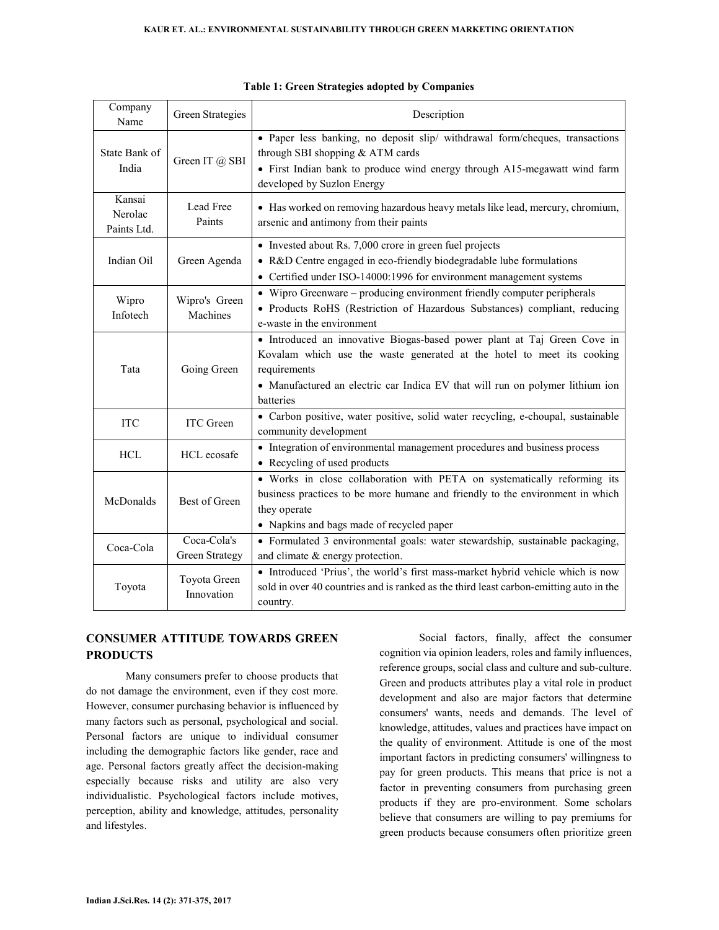| Company<br>Name                  | Green Strategies              | Description                                                                                                                                                                                                                                                      |  |  |
|----------------------------------|-------------------------------|------------------------------------------------------------------------------------------------------------------------------------------------------------------------------------------------------------------------------------------------------------------|--|--|
| State Bank of<br>India           | Green IT @ SBI                | • Paper less banking, no deposit slip/ withdrawal form/cheques, transactions<br>through SBI shopping & ATM cards<br>• First Indian bank to produce wind energy through A15-megawatt wind farm<br>developed by Suzlon Energy                                      |  |  |
| Kansai<br>Nerolac<br>Paints Ltd. | Lead Free<br>Paints           | • Has worked on removing hazardous heavy metals like lead, mercury, chromium,<br>arsenic and antimony from their paints                                                                                                                                          |  |  |
| Indian Oil                       | Green Agenda                  | • Invested about Rs. 7,000 crore in green fuel projects<br>• R&D Centre engaged in eco-friendly biodegradable lube formulations<br>• Certified under ISO-14000:1996 for environment management systems                                                           |  |  |
| Wipro<br>Infotech                | Wipro's Green<br>Machines     | • Wipro Greenware – producing environment friendly computer peripherals<br>· Products RoHS (Restriction of Hazardous Substances) compliant, reducing<br>e-waste in the environment                                                                               |  |  |
| Tata                             | Going Green                   | • Introduced an innovative Biogas-based power plant at Taj Green Cove in<br>Kovalam which use the waste generated at the hotel to meet its cooking<br>requirements<br>• Manufactured an electric car Indica EV that will run on polymer lithium ion<br>batteries |  |  |
| <b>ITC</b>                       | <b>ITC</b> Green              | · Carbon positive, water positive, solid water recycling, e-choupal, sustainable<br>community development                                                                                                                                                        |  |  |
| <b>HCL</b>                       | HCL ecosafe                   | • Integration of environmental management procedures and business process<br>• Recycling of used products                                                                                                                                                        |  |  |
| McDonalds                        | Best of Green                 | • Works in close collaboration with PETA on systematically reforming its<br>business practices to be more humane and friendly to the environment in which<br>they operate<br>• Napkins and bags made of recycled paper                                           |  |  |
| Coca-Cola                        | Coca-Cola's<br>Green Strategy | • Formulated 3 environmental goals: water stewardship, sustainable packaging,                                                                                                                                                                                    |  |  |
| Toyota                           | Toyota Green<br>Innovation    | and climate & energy protection.<br>• Introduced 'Prius', the world's first mass-market hybrid vehicle which is now<br>sold in over 40 countries and is ranked as the third least carbon-emitting auto in the<br>country.                                        |  |  |

|  |  |  | Table 1: Green Strategies adopted by Companies |
|--|--|--|------------------------------------------------|
|--|--|--|------------------------------------------------|

# **CONSUMER ATTITUDE TOWARDS GREEN PRODUCTS**

Many consumers prefer to choose products that do not damage the environment, even if they cost more. However, consumer purchasing behavior is influenced by many factors such as personal, psychological and social. Personal factors are unique to individual consumer including the demographic factors like gender, race and age. Personal factors greatly affect the decision-making especially because risks and utility are also very individualistic. Psychological factors include motives, perception, ability and knowledge, attitudes, personality and lifestyles.

Social factors, finally, affect the consumer cognition via opinion leaders, roles and family influences, reference groups, social class and culture and sub-culture. Green and products attributes play a vital role in product development and also are major factors that determine consumers' wants, needs and demands. The level of knowledge, attitudes, values and practices have impact on the quality of environment. Attitude is one of the most important factors in predicting consumers' willingness to pay for green products. This means that price is not a factor in preventing consumers from purchasing green products if they are pro-environment. Some scholars believe that consumers are willing to pay premiums for green products because consumers often prioritize green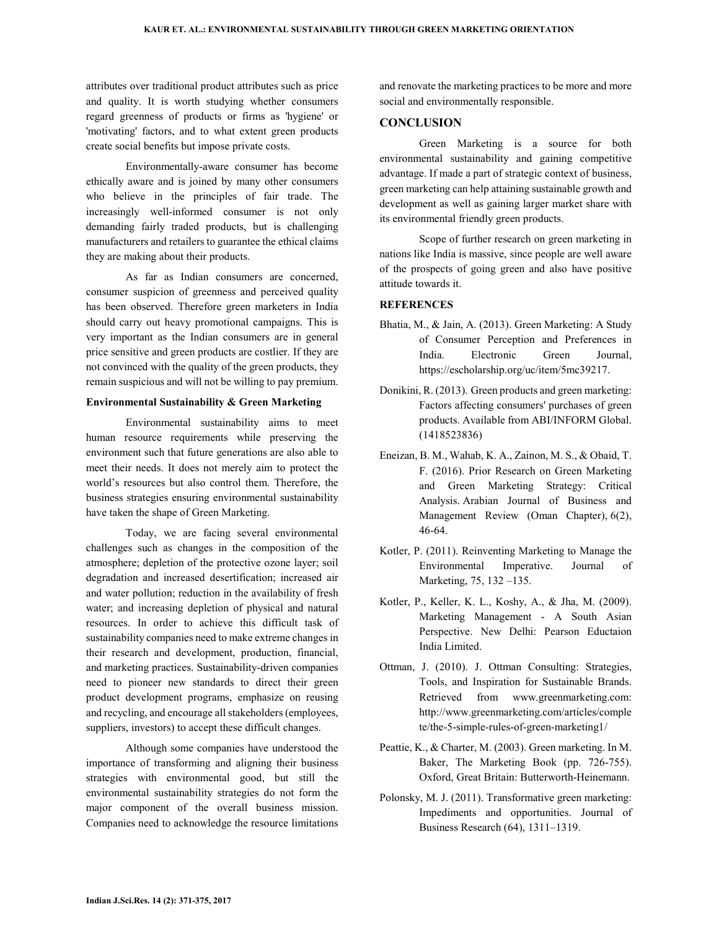attributes over traditional product attributes such as price and quality. It is worth studying whether consumers regard greenness of products or firms as 'hygiene' or 'motivating' factors, and to what extent green products create social benefits but impose private costs.

Environmentally-aware consumer has become ethically aware and is joined by many other consumers who believe in the principles of fair trade. The increasingly well-informed consumer is not only demanding fairly traded products, but is challenging manufacturers and retailers to guarantee the ethical claims they are making about their products.

As far as Indian consumers are concerned, consumer suspicion of greenness and perceived quality has been observed. Therefore green marketers in India should carry out heavy promotional campaigns. This is very important as the Indian consumers are in general price sensitive and green products are costlier. If they are not convinced with the quality of the green products, they remain suspicious and will not be willing to pay premium.

#### **Environmental Sustainability & Green Marketing**

Environmental sustainability aims to meet human resource requirements while preserving the environment such that future generations are also able to meet their needs. It does not merely aim to protect the world's resources but also control them. Therefore, the business strategies ensuring environmental sustainability have taken the shape of Green Marketing.

Today, we are facing several environmental challenges such as changes in the composition of the atmosphere; depletion of the protective ozone layer; soil degradation and increased desertification; increased air and water pollution; reduction in the availability of fresh water; and increasing depletion of physical and natural resources. In order to achieve this difficult task of sustainability companies need to make extreme changes in their research and development, production, financial, and marketing practices. Sustainability-driven companies need to pioneer new standards to direct their green product development programs, emphasize on reusing and recycling, and encourage all stakeholders (employees, suppliers, investors) to accept these difficult changes.

Although some companies have understood the importance of transforming and aligning their business strategies with environmental good, but still the environmental sustainability strategies do not form the major component of the overall business mission. Companies need to acknowledge the resource limitations

and renovate the marketing practices to be more and more social and environmentally responsible.

## **CONCLUSION**

Green Marketing is a source for both environmental sustainability and gaining competitive advantage. If made a part of strategic context of business, green marketing can help attaining sustainable growth and development as well as gaining larger market share with its environmental friendly green products.

Scope of further research on green marketing in nations like India is massive, since people are well aware of the prospects of going green and also have positive attitude towards it.

## **REFERENCES**

- Bhatia, M., & Jain, A. (2013). Green Marketing: A Study of Consumer Perception and Preferences in India. Electronic Green Journal, https://escholarship.org/uc/item/5mc39217.
- Donikini, R. (2013). Green products and green marketing: Factors affecting consumers' purchases of green products. Available from ABI/INFORM Global. (1418523836)
- Eneizan, B. M., Wahab, K. A., Zainon, M. S., & Obaid, T. F. (2016). Prior Research on Green Marketing and Green Marketing Strategy: Critical Analysis. Arabian Journal of Business and Management Review (Oman Chapter), 6(2), 46-64.
- Kotler, P. (2011). Reinventing Marketing to Manage the Environmental Imperative. Journal of Marketing, 75, 132 –135.
- Kotler, P., Keller, K. L., Koshy, A., & Jha, M. (2009). Marketing Management - A South Asian Perspective. New Delhi: Pearson Eductaion India Limited.
- Ottman, J. (2010). J. Ottman Consulting: Strategies, Tools, and Inspiration for Sustainable Brands. Retrieved from www.greenmarketing.com: http://www.greenmarketing.com/articles/comple te/the-5-simple-rules-of-green-marketing1/
- Peattie, K., & Charter, M. (2003). Green marketing. In M. Baker, The Marketing Book (pp. 726-755). Oxford, Great Britain: Butterworth-Heinemann.
- Polonsky, M. J. (2011). Transformative green marketing: Impediments and opportunities. Journal of Business Research (64), 1311–1319.